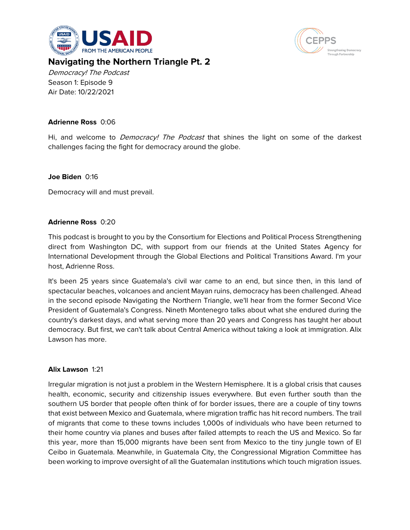



# **Navigating the Northern Triangle Pt. 2**

Democracy! The Podcast Season 1: Episode 9 Air Date: 10/22/2021

# **Adrienne Ross** 0:06

Hi, and welcome to *Democracy! The Podcast* that shines the light on some of the darkest challenges facing the fight for democracy around the globe.

# **Joe Biden** 0:16

Democracy will and must prevail.

# **Adrienne Ross** 0:20

This podcast is brought to you by the Consortium for Elections and Political Process Strengthening direct from Washington DC, with support from our friends at the United States Agency for International Development through the Global Elections and Political Transitions Award. I'm your host, Adrienne Ross.

It's been 25 years since Guatemala's civil war came to an end, but since then, in this land of spectacular beaches, volcanoes and ancient Mayan ruins, democracy has been challenged. Ahead in the second episode Navigating the Northern Triangle, we'll hear from the former Second Vice President of Guatemala's Congress. Nineth Montenegro talks about what she endured during the country's darkest days, and what serving more than 20 years and Congress has taught her about democracy. But first, we can't talk about Central America without taking a look at immigration. Alix Lawson has more.

# **Alix Lawson** 1:21

Irregular migration is not just a problem in the Western Hemisphere. It is a global crisis that causes health, economic, security and citizenship issues everywhere. But even further south than the southern US border that people often think of for border issues, there are a couple of tiny towns that exist between Mexico and Guatemala, where migration traffic has hit record numbers. The trail of migrants that come to these towns includes 1,000s of individuals who have been returned to their home country via planes and buses after failed attempts to reach the US and Mexico. So far this year, more than 15,000 migrants have been sent from Mexico to the tiny jungle town of El Ceibo in Guatemala. Meanwhile, in Guatemala City, the Congressional Migration Committee has been working to improve oversight of all the Guatemalan institutions which touch migration issues.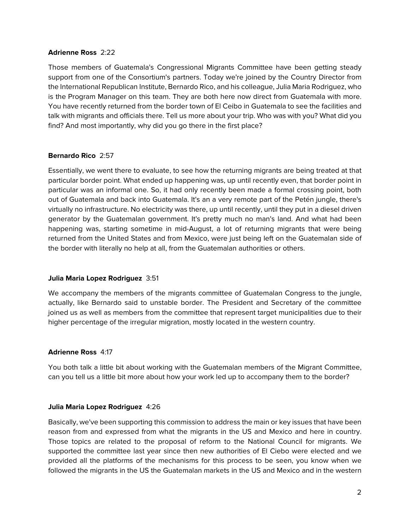### **Adrienne Ross** 2:22

Those members of Guatemala's Congressional Migrants Committee have been getting steady support from one of the Consortium's partners. Today we're joined by the Country Director from the International Republican Institute, Bernardo Rico, and his colleague, Julia Maria Rodriguez, who is the Program Manager on this team. They are both here now direct from Guatemala with more. You have recently returned from the border town of El Ceibo in Guatemala to see the facilities and talk with migrants and officials there. Tell us more about your trip. Who was with you? What did you find? And most importantly, why did you go there in the first place?

# **Bernardo Rico** 2:57

Essentially, we went there to evaluate, to see how the returning migrants are being treated at that particular border point. What ended up happening was, up until recently even, that border point in particular was an informal one. So, it had only recently been made a formal crossing point, both out of Guatemala and back into Guatemala. It's an a very remote part of the Petén jungle, there's virtually no infrastructure. No electricity was there, up until recently, until they put in a diesel driven generator by the Guatemalan government. It's pretty much no man's land. And what had been happening was, starting sometime in mid-August, a lot of returning migrants that were being returned from the United States and from Mexico, were just being left on the Guatemalan side of the border with literally no help at all, from the Guatemalan authorities or others.

# **Julia Maria Lopez Rodriguez** 3:51

We accompany the members of the migrants committee of Guatemalan Congress to the jungle, actually, like Bernardo said to unstable border. The President and Secretary of the committee joined us as well as members from the committee that represent target municipalities due to their higher percentage of the irregular migration, mostly located in the western country.

# **Adrienne Ross** 4:17

You both talk a little bit about working with the Guatemalan members of the Migrant Committee, can you tell us a little bit more about how your work led up to accompany them to the border?

# **Julia Maria Lopez Rodriguez** 4:26

Basically, we've been supporting this commission to address the main or key issues that have been reason from and expressed from what the migrants in the US and Mexico and here in country. Those topics are related to the proposal of reform to the National Council for migrants. We supported the committee last year since then new authorities of El Ciebo were elected and we provided all the platforms of the mechanisms for this process to be seen, you know when we followed the migrants in the US the Guatemalan markets in the US and Mexico and in the western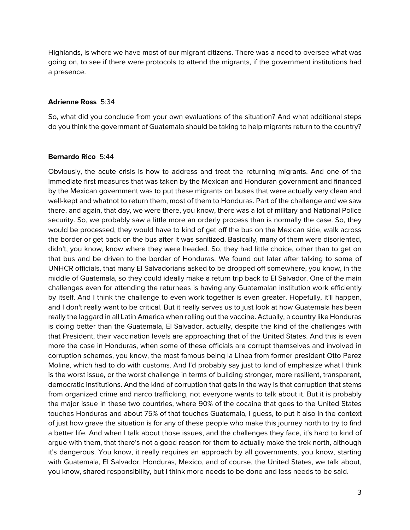Highlands, is where we have most of our migrant citizens. There was a need to oversee what was going on, to see if there were protocols to attend the migrants, if the government institutions had a presence.

#### **Adrienne Ross** 5:34

So, what did you conclude from your own evaluations of the situation? And what additional steps do you think the government of Guatemala should be taking to help migrants return to the country?

# **Bernardo Rico** 5:44

Obviously, the acute crisis is how to address and treat the returning migrants. And one of the immediate first measures that was taken by the Mexican and Honduran government and financed by the Mexican government was to put these migrants on buses that were actually very clean and well-kept and whatnot to return them, most of them to Honduras. Part of the challenge and we saw there, and again, that day, we were there, you know, there was a lot of military and National Police security. So, we probably saw a little more an orderly process than is normally the case. So, they would be processed, they would have to kind of get off the bus on the Mexican side, walk across the border or get back on the bus after it was sanitized. Basically, many of them were disoriented, didn't, you know, know where they were headed. So, they had little choice, other than to get on that bus and be driven to the border of Honduras. We found out later after talking to some of UNHCR officials, that many El Salvadorians asked to be dropped off somewhere, you know, in the middle of Guatemala, so they could ideally make a return trip back to El Salvador. One of the main challenges even for attending the returnees is having any Guatemalan institution work efficiently by itself. And I think the challenge to even work together is even greater. Hopefully, it'll happen, and I don't really want to be critical. But it really serves us to just look at how Guatemala has been really the laggard in all Latin America when rolling out the vaccine. Actually, a country like Honduras is doing better than the Guatemala, El Salvador, actually, despite the kind of the challenges with that President, their vaccination levels are approaching that of the United States. And this is even more the case in Honduras, when some of these officials are corrupt themselves and involved in corruption schemes, you know, the most famous being la Linea from former president Otto Perez Molina, which had to do with customs. And I'd probably say just to kind of emphasize what I think is the worst issue, or the worst challenge in terms of building stronger, more resilient, transparent, democratic institutions. And the kind of corruption that gets in the way is that corruption that stems from organized crime and narco trafficking, not everyone wants to talk about it. But it is probably the major issue in these two countries, where 90% of the cocaine that goes to the United States touches Honduras and about 75% of that touches Guatemala, I guess, to put it also in the context of just how grave the situation is for any of these people who make this journey north to try to find a better life. And when I talk about those issues, and the challenges they face, it's hard to kind of argue with them, that there's not a good reason for them to actually make the trek north, although it's dangerous. You know, it really requires an approach by all governments, you know, starting with Guatemala, El Salvador, Honduras, Mexico, and of course, the United States, we talk about, you know, shared responsibility, but I think more needs to be done and less needs to be said.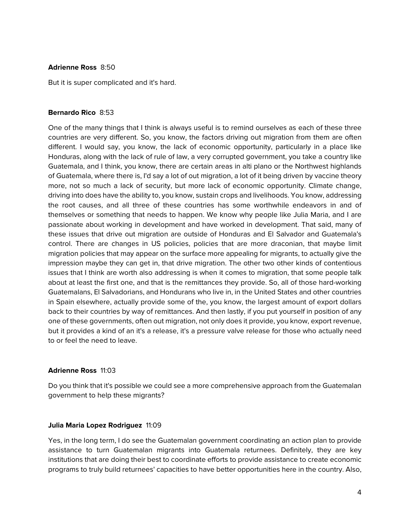### **Adrienne Ross** 8:50

But it is super complicated and it's hard.

# **Bernardo Rico** 8:53

One of the many things that I think is always useful is to remind ourselves as each of these three countries are very different. So, you know, the factors driving out migration from them are often different. I would say, you know, the lack of economic opportunity, particularly in a place like Honduras, along with the lack of rule of law, a very corrupted government, you take a country like Guatemala, and I think, you know, there are certain areas in alti plano or the Northwest highlands of Guatemala, where there is, I'd say a lot of out migration, a lot of it being driven by vaccine theory more, not so much a lack of security, but more lack of economic opportunity. Climate change, driving into does have the ability to, you know, sustain crops and livelihoods. You know, addressing the root causes, and all three of these countries has some worthwhile endeavors in and of themselves or something that needs to happen. We know why people like Julia Maria, and I are passionate about working in development and have worked in development. That said, many of these issues that drive out migration are outside of Honduras and El Salvador and Guatemala's control. There are changes in US policies, policies that are more draconian, that maybe limit migration policies that may appear on the surface more appealing for migrants, to actually give the impression maybe they can get in, that drive migration. The other two other kinds of contentious issues that I think are worth also addressing is when it comes to migration, that some people talk about at least the first one, and that is the remittances they provide. So, all of those hard-working Guatemalans, El Salvadorians, and Hondurans who live in, in the United States and other countries in Spain elsewhere, actually provide some of the, you know, the largest amount of export dollars back to their countries by way of remittances. And then lastly, if you put yourself in position of any one of these governments, often out migration, not only does it provide, you know, export revenue, but it provides a kind of an it's a release, it's a pressure valve release for those who actually need to or feel the need to leave.

# **Adrienne Ross** 11:03

Do you think that it's possible we could see a more comprehensive approach from the Guatemalan government to help these migrants?

# **Julia Maria Lopez Rodriguez** 11:09

Yes, in the long term, I do see the Guatemalan government coordinating an action plan to provide assistance to turn Guatemalan migrants into Guatemala returnees. Definitely, they are key institutions that are doing their best to coordinate efforts to provide assistance to create economic programs to truly build returnees' capacities to have better opportunities here in the country. Also,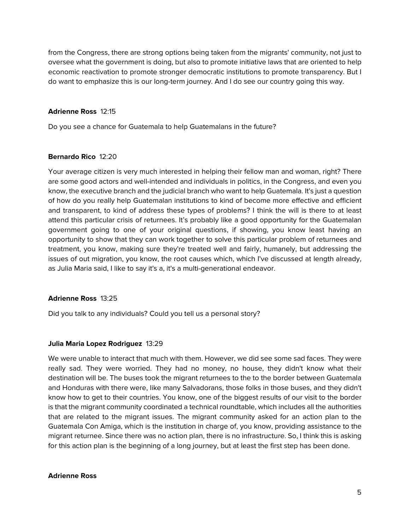from the Congress, there are strong options being taken from the migrants' community, not just to oversee what the government is doing, but also to promote initiative laws that are oriented to help economic reactivation to promote stronger democratic institutions to promote transparency. But I do want to emphasize this is our long-term journey. And I do see our country going this way.

# **Adrienne Ross** 12:15

Do you see a chance for Guatemala to help Guatemalans in the future?

# **Bernardo Rico** 12:20

Your average citizen is very much interested in helping their fellow man and woman, right? There are some good actors and well-intended and individuals in politics, in the Congress, and even you know, the executive branch and the judicial branch who want to help Guatemala. It's just a question of how do you really help Guatemalan institutions to kind of become more effective and efficient and transparent, to kind of address these types of problems? I think the will is there to at least attend this particular crisis of returnees. It's probably like a good opportunity for the Guatemalan government going to one of your original questions, if showing, you know least having an opportunity to show that they can work together to solve this particular problem of returnees and treatment, you know, making sure they're treated well and fairly, humanely, but addressing the issues of out migration, you know, the root causes which, which I've discussed at length already, as Julia Maria said, I like to say it's a, it's a multi-generational endeavor.

# **Adrienne Ross** 13:25

Did you talk to any individuals? Could you tell us a personal story?

# **Julia Maria Lopez Rodriguez** 13:29

We were unable to interact that much with them. However, we did see some sad faces. They were really sad. They were worried. They had no money, no house, they didn't know what their destination will be. The buses took the migrant returnees to the to the border between Guatemala and Honduras with there were, like many Salvadorans, those folks in those buses, and they didn't know how to get to their countries. You know, one of the biggest results of our visit to the border is that the migrant community coordinated a technical roundtable, which includes all the authorities that are related to the migrant issues. The migrant community asked for an action plan to the Guatemala Con Amiga, which is the institution in charge of, you know, providing assistance to the migrant returnee. Since there was no action plan, there is no infrastructure. So, I think this is asking for this action plan is the beginning of a long journey, but at least the first step has been done.

#### **Adrienne Ross**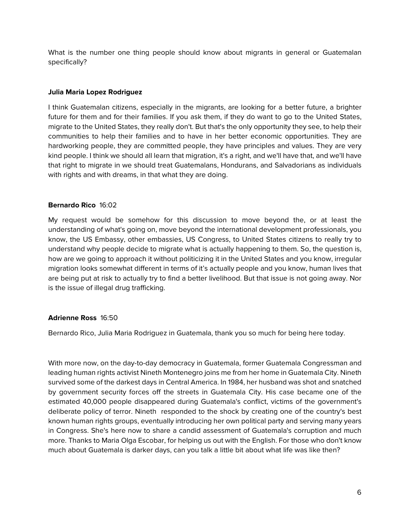What is the number one thing people should know about migrants in general or Guatemalan specifically?

# **Julia Maria Lopez Rodriguez**

I think Guatemalan citizens, especially in the migrants, are looking for a better future, a brighter future for them and for their families. If you ask them, if they do want to go to the United States, migrate to the United States, they really don't. But that's the only opportunity they see, to help their communities to help their families and to have in her better economic opportunities. They are hardworking people, they are committed people, they have principles and values. They are very kind people. I think we should all learn that migration, it's a right, and we'll have that, and we'll have that right to migrate in we should treat Guatemalans, Hondurans, and Salvadorians as individuals with rights and with dreams, in that what they are doing.

# **Bernardo Rico** 16:02

My request would be somehow for this discussion to move beyond the, or at least the understanding of what's going on, move beyond the international development professionals, you know, the US Embassy, other embassies, US Congress, to United States citizens to really try to understand why people decide to migrate what is actually happening to them. So, the question is, how are we going to approach it without politicizing it in the United States and you know, irregular migration looks somewhat different in terms of it's actually people and you know, human lives that are being put at risk to actually try to find a better livelihood. But that issue is not going away. Nor is the issue of illegal drug trafficking.

# **Adrienne Ross** 16:50

Bernardo Rico, Julia Maria Rodriguez in Guatemala, thank you so much for being here today.

With more now, on the day-to-day democracy in Guatemala, former Guatemala Congressman and leading human rights activist Nineth Montenegro joins me from her home in Guatemala City. Nineth survived some of the darkest days in Central America. In 1984, her husband was shot and snatched by government security forces off the streets in Guatemala City. His case became one of the estimated 40,000 people disappeared during Guatemala's conflict, victims of the government's deliberate policy of terror. Nineth responded to the shock by creating one of the country's best known human rights groups, eventually introducing her own political party and serving many years in Congress. She's here now to share a candid assessment of Guatemala's corruption and much more. Thanks to Maria Olga Escobar, for helping us out with the English. For those who don't know much about Guatemala is darker days, can you talk a little bit about what life was like then?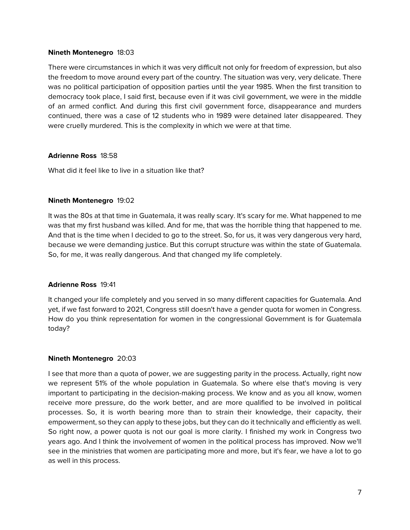### **Nineth Montenegro** 18:03

There were circumstances in which it was very difficult not only for freedom of expression, but also the freedom to move around every part of the country. The situation was very, very delicate. There was no political participation of opposition parties until the year 1985. When the first transition to democracy took place, I said first, because even if it was civil government, we were in the middle of an armed conflict. And during this first civil government force, disappearance and murders continued, there was a case of 12 students who in 1989 were detained later disappeared. They were cruelly murdered. This is the complexity in which we were at that time.

# **Adrienne Ross** 18:58

What did it feel like to live in a situation like that?

# **Nineth Montenegro** 19:02

It was the 80s at that time in Guatemala, it was really scary. It's scary for me. What happened to me was that my first husband was killed. And for me, that was the horrible thing that happened to me. And that is the time when I decided to go to the street. So, for us, it was very dangerous very hard, because we were demanding justice. But this corrupt structure was within the state of Guatemala. So, for me, it was really dangerous. And that changed my life completely.

# **Adrienne Ross** 19:41

It changed your life completely and you served in so many different capacities for Guatemala. And yet, if we fast forward to 2021, Congress still doesn't have a gender quota for women in Congress. How do you think representation for women in the congressional Government is for Guatemala today?

# **Nineth Montenegro** 20:03

I see that more than a quota of power, we are suggesting parity in the process. Actually, right now we represent 51% of the whole population in Guatemala. So where else that's moving is very important to participating in the decision-making process. We know and as you all know, women receive more pressure, do the work better, and are more qualified to be involved in political processes. So, it is worth bearing more than to strain their knowledge, their capacity, their empowerment, so they can apply to these jobs, but they can do it technically and efficiently as well. So right now, a power quota is not our goal is more clarity. I finished my work in Congress two years ago. And I think the involvement of women in the political process has improved. Now we'll see in the ministries that women are participating more and more, but it's fear, we have a lot to go as well in this process.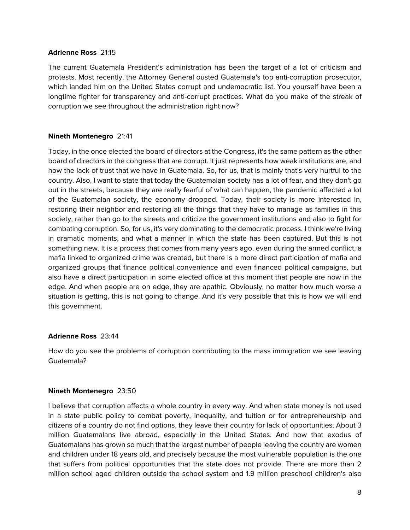### **Adrienne Ross** 21:15

The current Guatemala President's administration has been the target of a lot of criticism and protests. Most recently, the Attorney General ousted Guatemala's top anti-corruption prosecutor, which landed him on the United States corrupt and undemocratic list. You yourself have been a longtime fighter for transparency and anti-corrupt practices. What do you make of the streak of corruption we see throughout the administration right now?

# **Nineth Montenegro** 21:41

Today, in the once elected the board of directors at the Congress, it's the same pattern as the other board of directors in the congress that are corrupt. It just represents how weak institutions are, and how the lack of trust that we have in Guatemala. So, for us, that is mainly that's very hurtful to the country. Also, I want to state that today the Guatemalan society has a lot of fear, and they don't go out in the streets, because they are really fearful of what can happen, the pandemic affected a lot of the Guatemalan society, the economy dropped. Today, their society is more interested in, restoring their neighbor and restoring all the things that they have to manage as families in this society, rather than go to the streets and criticize the government institutions and also to fight for combating corruption. So, for us, it's very dominating to the democratic process. I think we're living in dramatic moments, and what a manner in which the state has been captured. But this is not something new. It is a process that comes from many years ago, even during the armed conflict, a mafia linked to organized crime was created, but there is a more direct participation of mafia and organized groups that finance political convenience and even financed political campaigns, but also have a direct participation in some elected office at this moment that people are now in the edge. And when people are on edge, they are apathic. Obviously, no matter how much worse a situation is getting, this is not going to change. And it's very possible that this is how we will end this government.

# **Adrienne Ross** 23:44

How do you see the problems of corruption contributing to the mass immigration we see leaving Guatemala?

# **Nineth Montenegro** 23:50

I believe that corruption affects a whole country in every way. And when state money is not used in a state public policy to combat poverty, inequality, and tuition or for entrepreneurship and citizens of a country do not find options, they leave their country for lack of opportunities. About 3 million Guatemalans live abroad, especially in the United States. And now that exodus of Guatemalans has grown so much that the largest number of people leaving the country are women and children under 18 years old, and precisely because the most vulnerable population is the one that suffers from political opportunities that the state does not provide. There are more than 2 million school aged children outside the school system and 1.9 million preschool children's also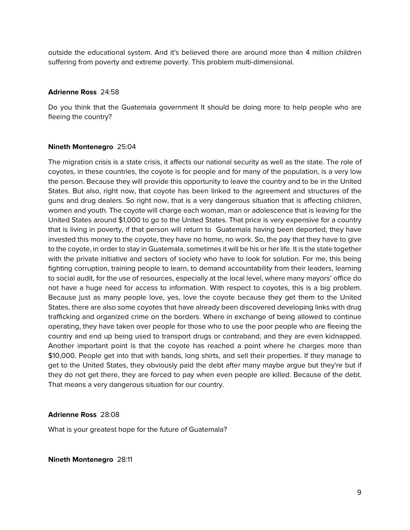outside the educational system. And it's believed there are around more than 4 million children suffering from poverty and extreme poverty. This problem multi-dimensional.

# **Adrienne Ross** 24:58

Do you think that the Guatemala government It should be doing more to help people who are fleeing the country?

# **Nineth Montenegro** 25:04

The migration crisis is a state crisis, it affects our national security as well as the state. The role of coyotes, in these countries, the coyote is for people and for many of the population, is a very low the person. Because they will provide this opportunity to leave the country and to be in the United States. But also, right now, that coyote has been linked to the agreement and structures of the guns and drug dealers. So right now, that is a very dangerous situation that is affecting children, women and youth. The coyote will charge each woman, man or adolescence that is leaving for the United States around \$1,000 to go to the United States. That price is very expensive for a country that is living in poverty, if that person will return to Guatemala having been deported, they have invested this money to the coyote, they have no home, no work. So, the pay that they have to give to the coyote, in order to stay in Guatemala, sometimes it will be his or her life. It is the state together with the private initiative and sectors of society who have to look for solution. For me, this being fighting corruption, training people to learn, to demand accountability from their leaders, learning to social audit, for the use of resources, especially at the local level, where many mayors' office do not have a huge need for access to information. With respect to coyotes, this is a big problem. Because just as many people love, yes, love the coyote because they get them to the United States, there are also some coyotes that have already been discovered developing links with drug trafficking and organized crime on the borders. Where in exchange of being allowed to continue operating, they have taken over people for those who to use the poor people who are fleeing the country and end up being used to transport drugs or contraband, and they are even kidnapped. Another important point is that the coyote has reached a point where he charges more than \$10,000. People get into that with bands, long shirts, and sell their properties. If they manage to get to the United States, they obviously paid the debt after many maybe argue but they're but if they do not get there, they are forced to pay when even people are killed. Because of the debt. That means a very dangerous situation for our country.

# **Adrienne Ross** 28:08

What is your greatest hope for the future of Guatemala?

**Nineth Montenegro** 28:11